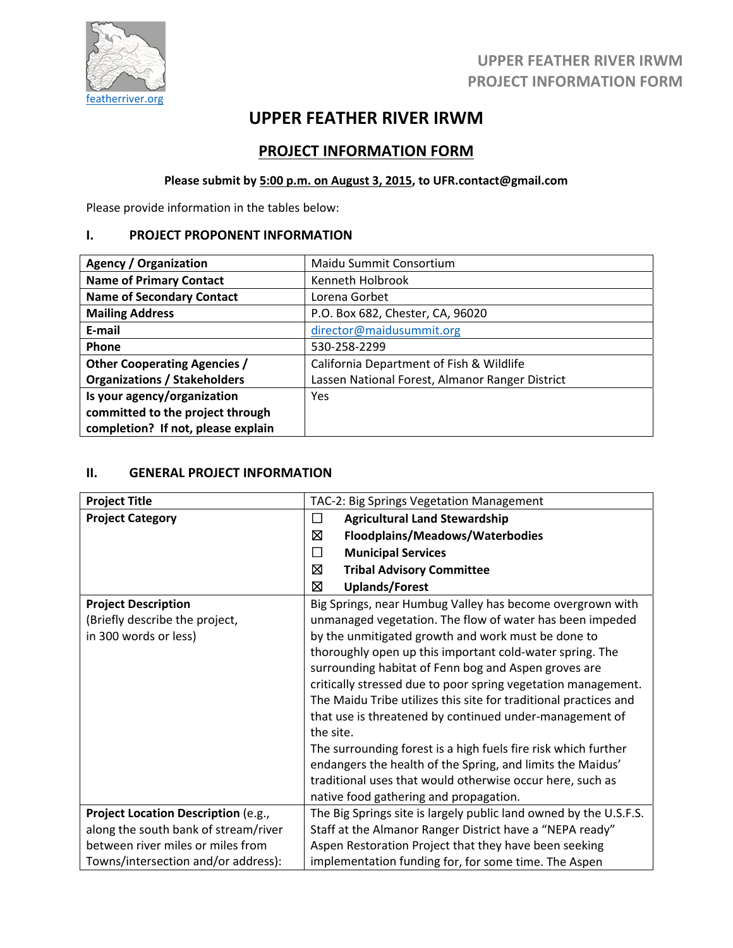

## **UPPER FEATHER RIVER IRWM PROJECT INFORMATION FORM**

# **UPPER FEATHER RIVER IRWM**

## **PROJECT INFORMATION FORM**

## **Please submit by 5:00 p.m. on August 3, 2015, to UFR.contact@gmail.com**

Please provide information in the tables below:

### **I. PROJECT PROPONENT INFORMATION**

| <b>Agency / Organization</b>        | Maidu Summit Consortium                         |  |  |  |
|-------------------------------------|-------------------------------------------------|--|--|--|
| <b>Name of Primary Contact</b>      | Kenneth Holbrook                                |  |  |  |
| <b>Name of Secondary Contact</b>    | Lorena Gorbet                                   |  |  |  |
| <b>Mailing Address</b>              | P.O. Box 682, Chester, CA, 96020                |  |  |  |
| E-mail                              | director@maidusummit.org                        |  |  |  |
| Phone                               | 530-258-2299                                    |  |  |  |
| <b>Other Cooperating Agencies /</b> | California Department of Fish & Wildlife        |  |  |  |
| <b>Organizations / Stakeholders</b> | Lassen National Forest, Almanor Ranger District |  |  |  |
| Is your agency/organization         | Yes                                             |  |  |  |
| committed to the project through    |                                                 |  |  |  |
| completion? If not, please explain  |                                                 |  |  |  |

## **II. GENERAL PROJECT INFORMATION**

| <b>Project Title</b>                                                                  | TAC-2: Big Springs Vegetation Management                                                                                                                                                                                                                                                                                                                                                                                                                                                                                                                                                                                                                                                                                                            |  |  |  |
|---------------------------------------------------------------------------------------|-----------------------------------------------------------------------------------------------------------------------------------------------------------------------------------------------------------------------------------------------------------------------------------------------------------------------------------------------------------------------------------------------------------------------------------------------------------------------------------------------------------------------------------------------------------------------------------------------------------------------------------------------------------------------------------------------------------------------------------------------------|--|--|--|
| <b>Project Category</b>                                                               | <b>Agricultural Land Stewardship</b><br>$\Box$                                                                                                                                                                                                                                                                                                                                                                                                                                                                                                                                                                                                                                                                                                      |  |  |  |
|                                                                                       | ⊠<br>Floodplains/Meadows/Waterbodies                                                                                                                                                                                                                                                                                                                                                                                                                                                                                                                                                                                                                                                                                                                |  |  |  |
|                                                                                       | $\Box$<br><b>Municipal Services</b>                                                                                                                                                                                                                                                                                                                                                                                                                                                                                                                                                                                                                                                                                                                 |  |  |  |
|                                                                                       | ⊠<br><b>Tribal Advisory Committee</b>                                                                                                                                                                                                                                                                                                                                                                                                                                                                                                                                                                                                                                                                                                               |  |  |  |
|                                                                                       | ⊠<br><b>Uplands/Forest</b>                                                                                                                                                                                                                                                                                                                                                                                                                                                                                                                                                                                                                                                                                                                          |  |  |  |
| <b>Project Description</b><br>(Briefly describe the project,<br>in 300 words or less) | Big Springs, near Humbug Valley has become overgrown with<br>unmanaged vegetation. The flow of water has been impeded<br>by the unmitigated growth and work must be done to<br>thoroughly open up this important cold-water spring. The<br>surrounding habitat of Fenn bog and Aspen groves are<br>critically stressed due to poor spring vegetation management.<br>The Maidu Tribe utilizes this site for traditional practices and<br>that use is threatened by continued under-management of<br>the site.<br>The surrounding forest is a high fuels fire risk which further<br>endangers the health of the Spring, and limits the Maidus'<br>traditional uses that would otherwise occur here, such as<br>native food gathering and propagation. |  |  |  |
| Project Location Description (e.g.,                                                   | The Big Springs site is largely public land owned by the U.S.F.S.                                                                                                                                                                                                                                                                                                                                                                                                                                                                                                                                                                                                                                                                                   |  |  |  |
| along the south bank of stream/river                                                  | Staff at the Almanor Ranger District have a "NEPA ready"                                                                                                                                                                                                                                                                                                                                                                                                                                                                                                                                                                                                                                                                                            |  |  |  |
| between river miles or miles from                                                     | Aspen Restoration Project that they have been seeking                                                                                                                                                                                                                                                                                                                                                                                                                                                                                                                                                                                                                                                                                               |  |  |  |
| Towns/intersection and/or address):                                                   | implementation funding for, for some time. The Aspen                                                                                                                                                                                                                                                                                                                                                                                                                                                                                                                                                                                                                                                                                                |  |  |  |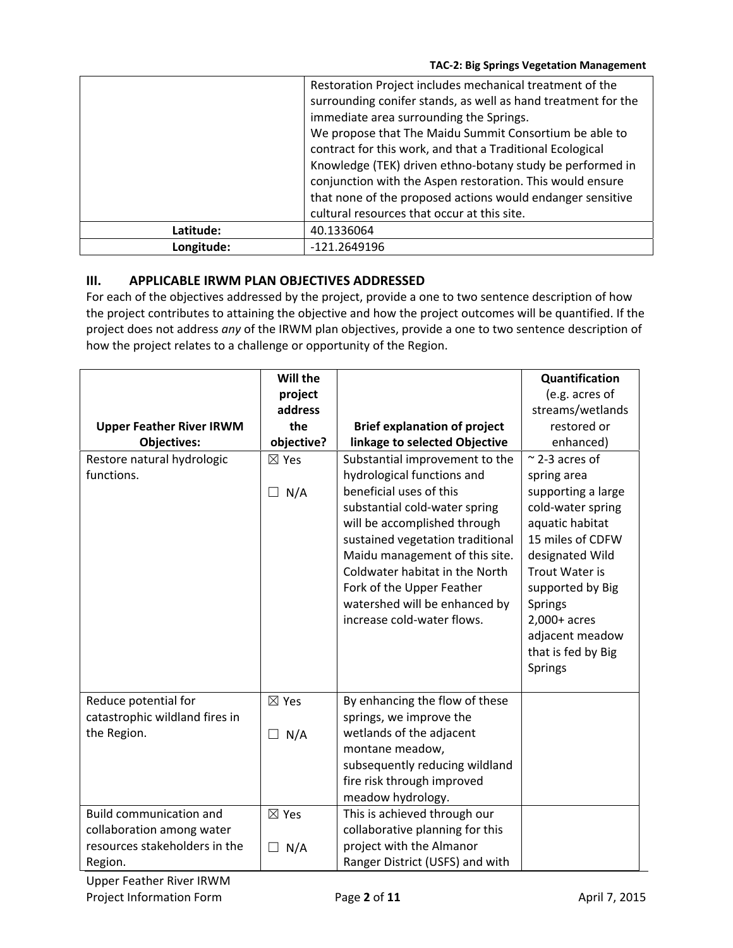|            | Restoration Project includes mechanical treatment of the      |  |
|------------|---------------------------------------------------------------|--|
|            | surrounding conifer stands, as well as hand treatment for the |  |
|            | immediate area surrounding the Springs.                       |  |
|            | We propose that The Maidu Summit Consortium be able to        |  |
|            | contract for this work, and that a Traditional Ecological     |  |
|            | Knowledge (TEK) driven ethno-botany study be performed in     |  |
|            | conjunction with the Aspen restoration. This would ensure     |  |
|            | that none of the proposed actions would endanger sensitive    |  |
|            | cultural resources that occur at this site.                   |  |
| Latitude:  | 40.1336064                                                    |  |
| Longitude: | -121.2649196                                                  |  |

## **III. APPLICABLE IRWM PLAN OBJECTIVES ADDRESSED**

For each of the objectives addressed by the project, provide a one to two sentence description of how the project contributes to attaining the objective and how the project outcomes will be quantified. If the project does not address *any* of the IRWM plan objectives, provide a one to two sentence description of how the project relates to a challenge or opportunity of the Region.

|                                 | Will the        |                                     | Quantification         |
|---------------------------------|-----------------|-------------------------------------|------------------------|
|                                 | project         |                                     | (e.g. acres of         |
|                                 | address         |                                     | streams/wetlands       |
| <b>Upper Feather River IRWM</b> | the             | <b>Brief explanation of project</b> | restored or            |
| <b>Objectives:</b>              | objective?      | linkage to selected Objective       | enhanced)              |
| Restore natural hydrologic      | $\boxtimes$ Yes | Substantial improvement to the      | $\approx$ 2-3 acres of |
| functions.                      |                 | hydrological functions and          | spring area            |
|                                 | $\Box$ N/A      | beneficial uses of this             | supporting a large     |
|                                 |                 | substantial cold-water spring       | cold-water spring      |
|                                 |                 | will be accomplished through        | aquatic habitat        |
|                                 |                 | sustained vegetation traditional    | 15 miles of CDFW       |
|                                 |                 | Maidu management of this site.      | designated Wild        |
|                                 |                 | Coldwater habitat in the North      | <b>Trout Water is</b>  |
|                                 |                 | Fork of the Upper Feather           | supported by Big       |
|                                 |                 | watershed will be enhanced by       | <b>Springs</b>         |
|                                 |                 | increase cold-water flows.          | $2,000+$ acres         |
|                                 |                 |                                     | adjacent meadow        |
|                                 |                 |                                     | that is fed by Big     |
|                                 |                 |                                     | <b>Springs</b>         |
|                                 |                 |                                     |                        |
| Reduce potential for            | $\boxtimes$ Yes | By enhancing the flow of these      |                        |
| catastrophic wildland fires in  |                 | springs, we improve the             |                        |
| the Region.                     | $\Box$ N/A      | wetlands of the adjacent            |                        |
|                                 |                 | montane meadow,                     |                        |
|                                 |                 | subsequently reducing wildland      |                        |
|                                 |                 | fire risk through improved          |                        |
|                                 |                 | meadow hydrology.                   |                        |
| <b>Build communication and</b>  | $\boxtimes$ Yes | This is achieved through our        |                        |
| collaboration among water       |                 | collaborative planning for this     |                        |
| resources stakeholders in the   | N/A<br>$\Box$   | project with the Almanor            |                        |
| Region.                         |                 | Ranger District (USFS) and with     |                        |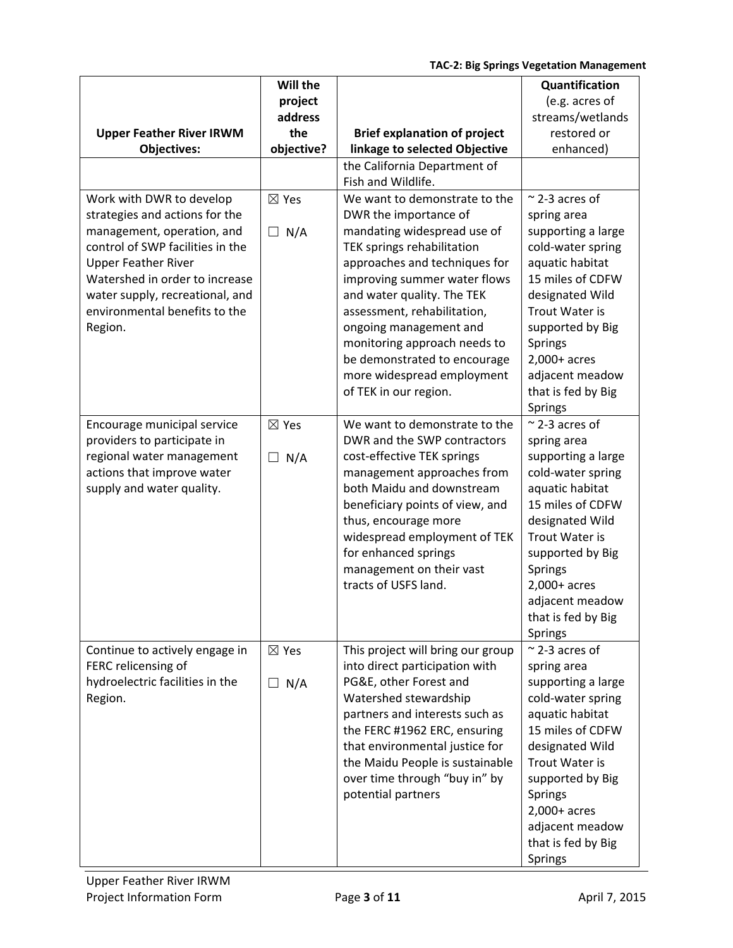|                                                                | Will the        |                                                           | Quantification                          |  |
|----------------------------------------------------------------|-----------------|-----------------------------------------------------------|-----------------------------------------|--|
|                                                                | project         |                                                           | (e.g. acres of                          |  |
|                                                                | address         |                                                           | streams/wetlands                        |  |
| <b>Upper Feather River IRWM</b>                                | the             | <b>Brief explanation of project</b>                       | restored or                             |  |
| <b>Objectives:</b>                                             | objective?      | linkage to selected Objective                             | enhanced)                               |  |
|                                                                |                 | the California Department of                              |                                         |  |
|                                                                |                 | Fish and Wildlife.                                        |                                         |  |
| Work with DWR to develop                                       | $\boxtimes$ Yes | We want to demonstrate to the                             | $\approx$ 2-3 acres of                  |  |
| strategies and actions for the                                 |                 | DWR the importance of                                     | spring area                             |  |
| management, operation, and<br>control of SWP facilities in the | N/A<br>$\Box$   | mandating widespread use of<br>TEK springs rehabilitation | supporting a large<br>cold-water spring |  |
| <b>Upper Feather River</b>                                     |                 | approaches and techniques for                             | aquatic habitat                         |  |
| Watershed in order to increase                                 |                 | improving summer water flows                              | 15 miles of CDFW                        |  |
| water supply, recreational, and                                |                 | and water quality. The TEK                                | designated Wild                         |  |
| environmental benefits to the                                  |                 | assessment, rehabilitation,                               | <b>Trout Water is</b>                   |  |
| Region.                                                        |                 | ongoing management and                                    | supported by Big                        |  |
|                                                                |                 | monitoring approach needs to                              | Springs                                 |  |
|                                                                |                 | be demonstrated to encourage                              | $2,000+$ acres                          |  |
|                                                                |                 | more widespread employment                                | adjacent meadow                         |  |
|                                                                |                 | of TEK in our region.                                     | that is fed by Big                      |  |
|                                                                |                 |                                                           | Springs                                 |  |
| Encourage municipal service                                    | $\boxtimes$ Yes | We want to demonstrate to the                             | $\approx$ 2-3 acres of                  |  |
| providers to participate in                                    |                 | DWR and the SWP contractors                               | spring area                             |  |
| regional water management                                      | $\Box$ N/A      | cost-effective TEK springs                                | supporting a large                      |  |
| actions that improve water                                     |                 | management approaches from                                | cold-water spring                       |  |
| supply and water quality.                                      |                 | both Maidu and downstream                                 | aquatic habitat                         |  |
|                                                                |                 | beneficiary points of view, and                           | 15 miles of CDFW                        |  |
|                                                                |                 | thus, encourage more                                      | designated Wild<br>Trout Water is       |  |
|                                                                |                 | widespread employment of TEK<br>for enhanced springs      | supported by Big                        |  |
|                                                                |                 | management on their vast                                  | Springs                                 |  |
|                                                                |                 | tracts of USFS land.                                      | $2,000+$ acres                          |  |
|                                                                |                 |                                                           | adjacent meadow                         |  |
|                                                                |                 |                                                           | that is fed by Big                      |  |
|                                                                |                 |                                                           | Springs                                 |  |
| Continue to actively engage in                                 | $\boxtimes$ Yes | This project will bring our group                         | $\approx$ 2-3 acres of                  |  |
| FERC relicensing of                                            |                 | into direct participation with                            | spring area                             |  |
| hydroelectric facilities in the                                | N/A<br>$\perp$  | PG&E, other Forest and                                    | supporting a large                      |  |
| Region.                                                        |                 | Watershed stewardship                                     | cold-water spring                       |  |
|                                                                |                 | partners and interests such as                            | aquatic habitat                         |  |
|                                                                |                 | the FERC #1962 ERC, ensuring                              | 15 miles of CDFW                        |  |
|                                                                |                 | that environmental justice for                            | designated Wild                         |  |
|                                                                |                 | the Maidu People is sustainable                           | Trout Water is                          |  |
|                                                                |                 | over time through "buy in" by                             | supported by Big                        |  |
|                                                                |                 | potential partners                                        | Springs                                 |  |
|                                                                |                 |                                                           | $2,000+$ acres                          |  |
|                                                                |                 |                                                           | adjacent meadow                         |  |
|                                                                |                 |                                                           | that is fed by Big                      |  |
|                                                                |                 |                                                           | Springs                                 |  |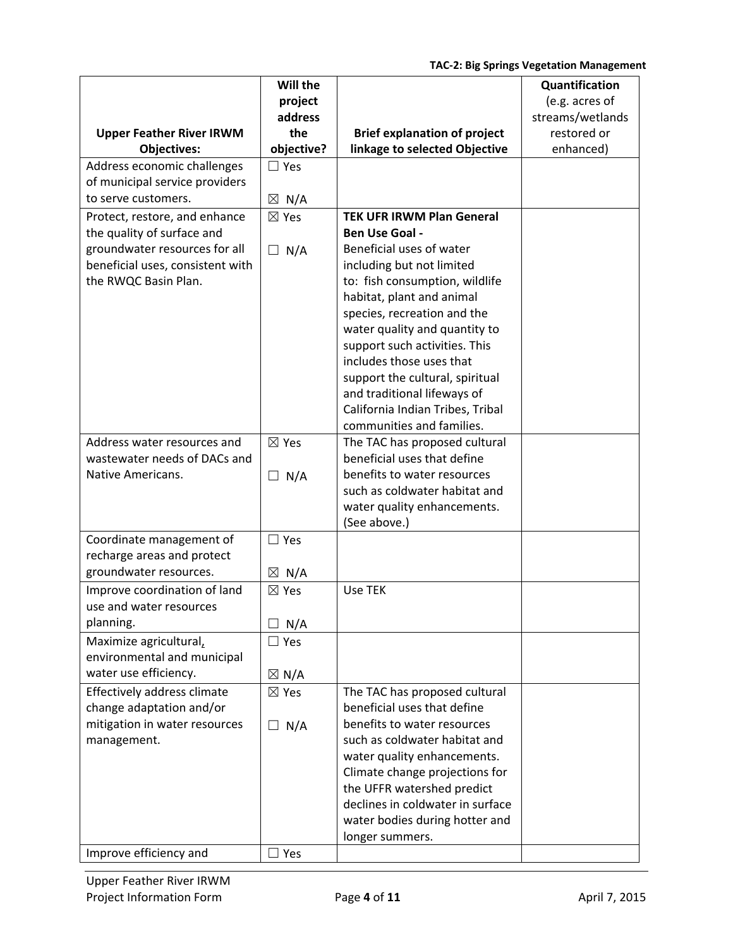|                                  | Will the                 |                                                                | Quantification                     |
|----------------------------------|--------------------------|----------------------------------------------------------------|------------------------------------|
|                                  | project<br>address       |                                                                | (e.g. acres of<br>streams/wetlands |
| <b>Upper Feather River IRWM</b>  | the                      | <b>Brief explanation of project</b>                            | restored or                        |
| <b>Objectives:</b>               | objective?               | linkage to selected Objective                                  | enhanced)                          |
| Address economic challenges      | $\Box$ Yes               |                                                                |                                    |
| of municipal service providers   |                          |                                                                |                                    |
| to serve customers.              | $\boxtimes$ N/A          |                                                                |                                    |
| Protect, restore, and enhance    | $\boxtimes$ Yes          | <b>TEK UFR IRWM Plan General</b>                               |                                    |
| the quality of surface and       |                          | Ben Use Goal -                                                 |                                    |
| groundwater resources for all    | $\Box$ N/A               | Beneficial uses of water                                       |                                    |
| beneficial uses, consistent with |                          | including but not limited                                      |                                    |
| the RWQC Basin Plan.             |                          | to: fish consumption, wildlife                                 |                                    |
|                                  |                          | habitat, plant and animal                                      |                                    |
|                                  |                          | species, recreation and the                                    |                                    |
|                                  |                          | water quality and quantity to                                  |                                    |
|                                  |                          | support such activities. This                                  |                                    |
|                                  |                          | includes those uses that                                       |                                    |
|                                  |                          | support the cultural, spiritual<br>and traditional lifeways of |                                    |
|                                  |                          | California Indian Tribes, Tribal                               |                                    |
|                                  |                          | communities and families.                                      |                                    |
| Address water resources and      | $\boxtimes$ Yes          | The TAC has proposed cultural                                  |                                    |
| wastewater needs of DACs and     |                          | beneficial uses that define                                    |                                    |
| Native Americans.                | $\Box$ N/A               | benefits to water resources                                    |                                    |
|                                  |                          | such as coldwater habitat and                                  |                                    |
|                                  |                          | water quality enhancements.                                    |                                    |
|                                  |                          | (See above.)                                                   |                                    |
| Coordinate management of         | $\Box$ Yes               |                                                                |                                    |
| recharge areas and protect       |                          |                                                                |                                    |
| groundwater resources.           | $\boxtimes$ N/A          |                                                                |                                    |
| Improve coordination of land     | $\boxtimes$ Yes          | Use TEK                                                        |                                    |
| use and water resources          |                          |                                                                |                                    |
| planning.                        | N/A<br>$\vert \ \ \vert$ |                                                                |                                    |
| Maximize agricultural,           | $\square$ Yes            |                                                                |                                    |
| environmental and municipal      |                          |                                                                |                                    |
| water use efficiency.            | $\boxtimes$ N/A          |                                                                |                                    |
| Effectively address climate      | $\boxtimes$ Yes          | The TAC has proposed cultural                                  |                                    |
| change adaptation and/or         |                          | beneficial uses that define                                    |                                    |
| mitigation in water resources    | $\Box$ N/A               | benefits to water resources<br>such as coldwater habitat and   |                                    |
| management.                      |                          | water quality enhancements.                                    |                                    |
|                                  |                          | Climate change projections for                                 |                                    |
|                                  |                          | the UFFR watershed predict                                     |                                    |
|                                  |                          | declines in coldwater in surface                               |                                    |
|                                  |                          | water bodies during hotter and                                 |                                    |
|                                  |                          | longer summers.                                                |                                    |
| Improve efficiency and           | $\Box$ Yes               |                                                                |                                    |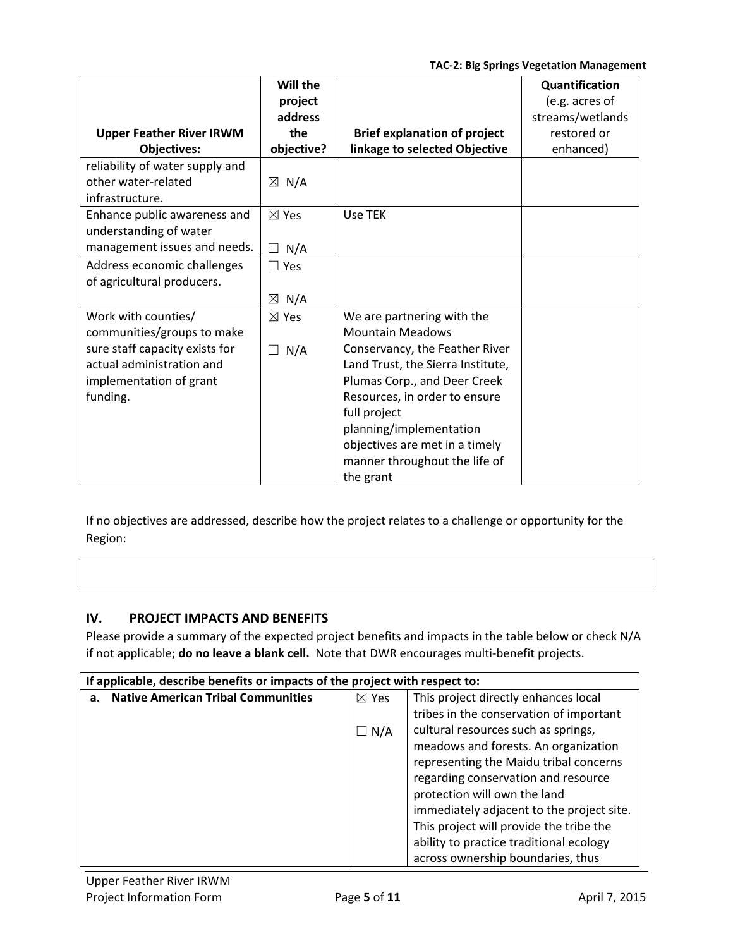|                                 | Will the        |                                     | Quantification   |
|---------------------------------|-----------------|-------------------------------------|------------------|
|                                 | project         |                                     | (e.g. acres of   |
|                                 | address         |                                     | streams/wetlands |
| <b>Upper Feather River IRWM</b> | the             | <b>Brief explanation of project</b> | restored or      |
| <b>Objectives:</b>              | objective?      | linkage to selected Objective       | enhanced)        |
| reliability of water supply and |                 |                                     |                  |
| other water-related             | $\boxtimes$ N/A |                                     |                  |
| infrastructure.                 |                 |                                     |                  |
| Enhance public awareness and    | $\boxtimes$ Yes | Use TEK                             |                  |
| understanding of water          |                 |                                     |                  |
| management issues and needs.    | N/A<br>$\perp$  |                                     |                  |
| Address economic challenges     | $\Box$ Yes      |                                     |                  |
| of agricultural producers.      |                 |                                     |                  |
|                                 | $\boxtimes$ N/A |                                     |                  |
| Work with counties/             | $\boxtimes$ Yes | We are partnering with the          |                  |
| communities/groups to make      |                 | <b>Mountain Meadows</b>             |                  |
| sure staff capacity exists for  | N/A<br>$\Box$   | Conservancy, the Feather River      |                  |
| actual administration and       |                 | Land Trust, the Sierra Institute,   |                  |
| implementation of grant         |                 | Plumas Corp., and Deer Creek        |                  |
| funding.                        |                 | Resources, in order to ensure       |                  |
|                                 |                 | full project                        |                  |
|                                 |                 | planning/implementation             |                  |
|                                 |                 | objectives are met in a timely      |                  |
|                                 |                 | manner throughout the life of       |                  |
|                                 |                 | the grant                           |                  |

If no objectives are addressed, describe how the project relates to a challenge or opportunity for the Region:

## **IV. PROJECT IMPACTS AND BENEFITS**

Please provide a summary of the expected project benefits and impacts in the table below or check N/A if not applicable; **do no leave a blank cell.** Note that DWR encourages multi‐benefit projects.

| If applicable, describe benefits or impacts of the project with respect to: |                 |                                           |  |  |
|-----------------------------------------------------------------------------|-----------------|-------------------------------------------|--|--|
| <b>Native American Tribal Communities</b>                                   | $\boxtimes$ Yes | This project directly enhances local      |  |  |
|                                                                             |                 | tribes in the conservation of important   |  |  |
|                                                                             | $\Box N/A$      | cultural resources such as springs,       |  |  |
|                                                                             |                 | meadows and forests. An organization      |  |  |
|                                                                             |                 | representing the Maidu tribal concerns    |  |  |
|                                                                             |                 | regarding conservation and resource       |  |  |
|                                                                             |                 | protection will own the land              |  |  |
|                                                                             |                 | immediately adjacent to the project site. |  |  |
|                                                                             |                 | This project will provide the tribe the   |  |  |
|                                                                             |                 | ability to practice traditional ecology   |  |  |
|                                                                             |                 | across ownership boundaries, thus         |  |  |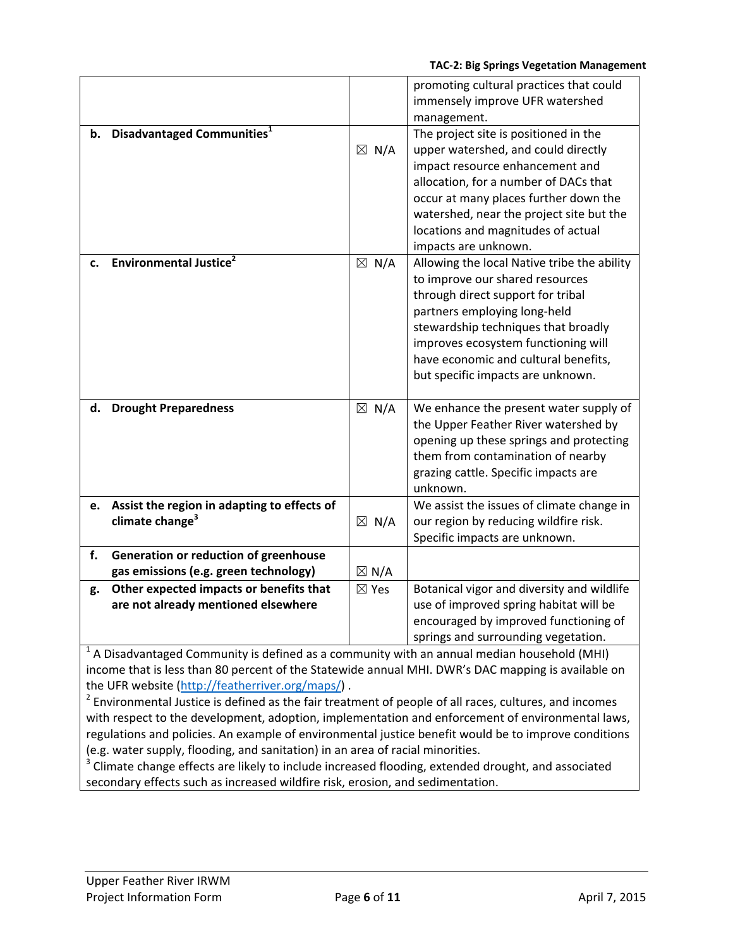|    |                                                                            |                 | promoting cultural practices that could<br>immensely improve UFR watershed<br>management.                                                                                                                                                                                                                      |
|----|----------------------------------------------------------------------------|-----------------|----------------------------------------------------------------------------------------------------------------------------------------------------------------------------------------------------------------------------------------------------------------------------------------------------------------|
| b. | Disadvantaged Communities <sup>1</sup>                                     | $\boxtimes$ N/A | The project site is positioned in the<br>upper watershed, and could directly<br>impact resource enhancement and<br>allocation, for a number of DACs that<br>occur at many places further down the<br>watershed, near the project site but the<br>locations and magnitudes of actual<br>impacts are unknown.    |
| c. | <b>Environmental Justice</b> <sup>2</sup>                                  | $\boxtimes$ N/A | Allowing the local Native tribe the ability<br>to improve our shared resources<br>through direct support for tribal<br>partners employing long-held<br>stewardship techniques that broadly<br>improves ecosystem functioning will<br>have economic and cultural benefits,<br>but specific impacts are unknown. |
| d. | <b>Drought Preparedness</b>                                                | $\boxtimes$ N/A | We enhance the present water supply of<br>the Upper Feather River watershed by<br>opening up these springs and protecting<br>them from contamination of nearby<br>grazing cattle. Specific impacts are<br>unknown.                                                                                             |
| e. | Assist the region in adapting to effects of<br>climate change <sup>3</sup> | $\boxtimes$ N/A | We assist the issues of climate change in<br>our region by reducing wildfire risk.<br>Specific impacts are unknown.                                                                                                                                                                                            |
| f. | Generation or reduction of greenhouse                                      |                 |                                                                                                                                                                                                                                                                                                                |
|    | gas emissions (e.g. green technology)                                      | $\boxtimes$ N/A |                                                                                                                                                                                                                                                                                                                |
| g. | Other expected impacts or benefits that                                    | $\boxtimes$ Yes | Botanical vigor and diversity and wildlife                                                                                                                                                                                                                                                                     |
|    | are not already mentioned elsewhere                                        |                 | use of improved spring habitat will be                                                                                                                                                                                                                                                                         |
|    |                                                                            |                 | encouraged by improved functioning of<br>springs and surrounding vegetation.                                                                                                                                                                                                                                   |
|    |                                                                            |                 |                                                                                                                                                                                                                                                                                                                |

 $<sup>1</sup>$  A Disadvantaged Community is defined as a community with an annual median household (MHI)</sup> income that is less than 80 percent of the Statewide annual MHI. DWR's DAC mapping is available on the UFR website (http://featherriver.org/maps/) .

<sup>2</sup> Environmental Justice is defined as the fair treatment of people of all races, cultures, and incomes with respect to the development, adoption, implementation and enforcement of environmental laws, regulations and policies. An example of environmental justice benefit would be to improve conditions (e.g. water supply, flooding, and sanitation) in an area of racial minorities.

 $3$  Climate change effects are likely to include increased flooding, extended drought, and associated secondary effects such as increased wildfire risk, erosion, and sedimentation.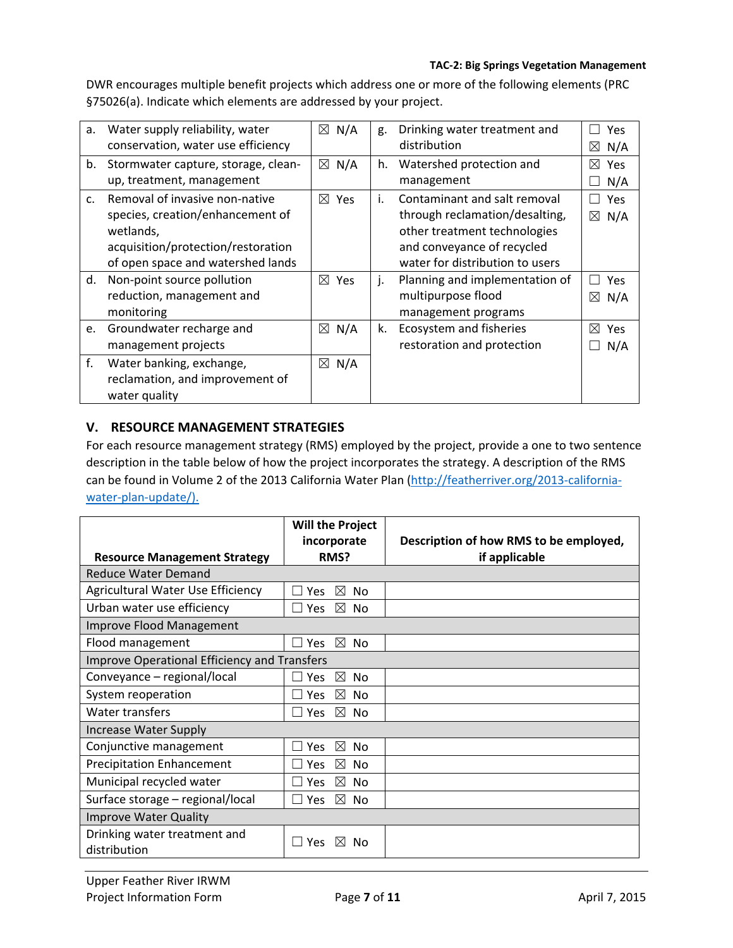DWR encourages multiple benefit projects which address one or more of the following elements (PRC §75026(a). Indicate which elements are addressed by your project.

| а.             | Water supply reliability, water        | $\boxtimes$ N/A | g. | Drinking water treatment and    | Yes                |
|----------------|----------------------------------------|-----------------|----|---------------------------------|--------------------|
|                | conservation, water use efficiency     |                 |    | distribution                    | $\boxtimes$<br>N/A |
|                | b. Stormwater capture, storage, clean- | $\boxtimes$ N/A | h. | Watershed protection and        | ⊠<br>Yes           |
|                | up, treatment, management              |                 |    | management                      | N/A                |
| C <sub>1</sub> | Removal of invasive non-native         | $\boxtimes$ Yes | i. | Contaminant and salt removal    | <b>Yes</b>         |
|                | species, creation/enhancement of       |                 |    | through reclamation/desalting,  | ⊠<br>N/A           |
|                | wetlands,                              |                 |    | other treatment technologies    |                    |
|                | acquisition/protection/restoration     |                 |    | and conveyance of recycled      |                    |
|                | of open space and watershed lands      |                 |    | water for distribution to users |                    |
| d.             | Non-point source pollution             | $\boxtimes$ Yes | j. | Planning and implementation of  | <b>Yes</b>         |
|                | reduction, management and              |                 |    | multipurpose flood              | $\boxtimes$<br>N/A |
|                | monitoring                             |                 |    | management programs             |                    |
| e.             | Groundwater recharge and               | $\boxtimes$ N/A | k. | Ecosystem and fisheries         | M<br><b>Yes</b>    |
|                | management projects                    |                 |    | restoration and protection      | N/A                |
| f.             | Water banking, exchange,               | $\boxtimes$ N/A |    |                                 |                    |
|                | reclamation, and improvement of        |                 |    |                                 |                    |
|                | water quality                          |                 |    |                                 |                    |

### **V. RESOURCE MANAGEMENT STRATEGIES**

For each resource management strategy (RMS) employed by the project, provide a one to two sentence description in the table below of how the project incorporates the strategy. A description of the RMS can be found in Volume 2 of the 2013 California Water Plan (http://featherriver.org/2013-californiawater-plan-update/).

|                                                     | <b>Will the Project</b>              |                                        |  |  |
|-----------------------------------------------------|--------------------------------------|----------------------------------------|--|--|
|                                                     | incorporate                          | Description of how RMS to be employed, |  |  |
| <b>Resource Management Strategy</b>                 | RMS?                                 | if applicable                          |  |  |
| Reduce Water Demand                                 |                                      |                                        |  |  |
| Agricultural Water Use Efficiency                   | $\boxtimes$<br>No.<br>Yes            |                                        |  |  |
| Urban water use efficiency                          | $\boxtimes$ No<br>Yes                |                                        |  |  |
| <b>Improve Flood Management</b>                     |                                      |                                        |  |  |
| Flood management                                    | $\boxtimes$<br><b>Yes</b><br>No.     |                                        |  |  |
| <b>Improve Operational Efficiency and Transfers</b> |                                      |                                        |  |  |
| Conveyance - regional/local                         | $\boxtimes$<br>Yes<br>No.            |                                        |  |  |
| System reoperation                                  | $\boxtimes$<br>Yes<br>No.            |                                        |  |  |
| Water transfers                                     | $\boxtimes$<br>$\Box$ Yes<br>No.     |                                        |  |  |
| <b>Increase Water Supply</b>                        |                                      |                                        |  |  |
| Conjunctive management                              | ⊠<br>Yes<br>No.                      |                                        |  |  |
| <b>Precipitation Enhancement</b>                    | $\boxtimes$<br>N <sub>o</sub><br>Yes |                                        |  |  |
| Municipal recycled water                            | $\boxtimes$<br>Yes<br><b>No</b>      |                                        |  |  |
| Surface storage - regional/local                    | $\boxtimes$<br>Yes<br>No.            |                                        |  |  |
| <b>Improve Water Quality</b>                        |                                      |                                        |  |  |
| Drinking water treatment and<br>distribution        | ⊠<br><b>Yes</b><br>Nο                |                                        |  |  |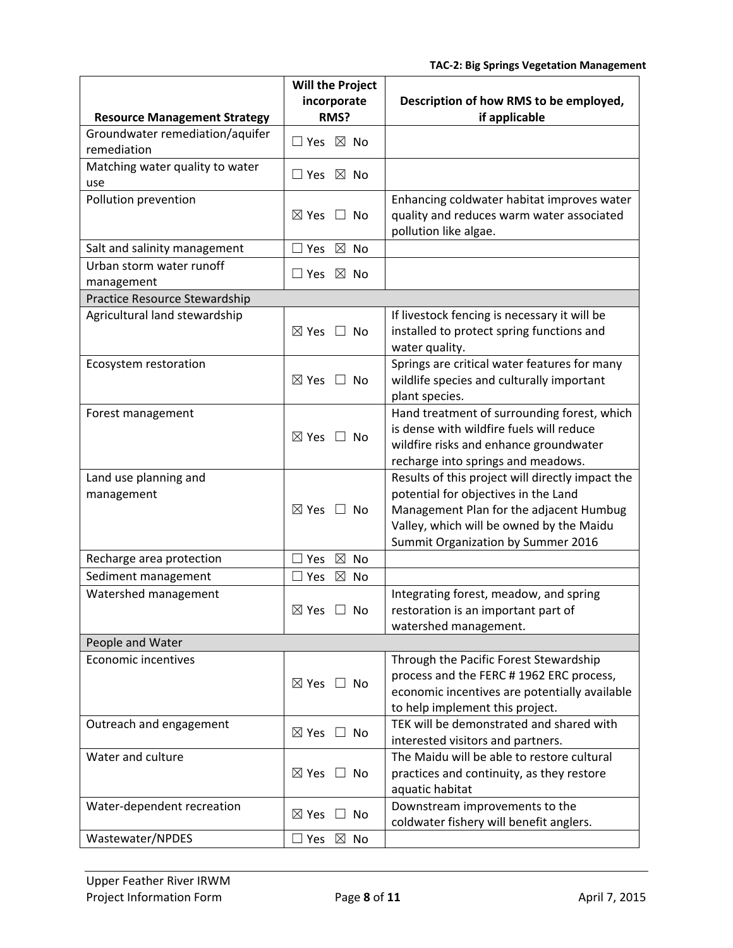|                                                | <b>Will the Project</b><br>incorporate | Description of how RMS to be employed,                                                                                                                                                                                |
|------------------------------------------------|----------------------------------------|-----------------------------------------------------------------------------------------------------------------------------------------------------------------------------------------------------------------------|
| <b>Resource Management Strategy</b>            | RMS?                                   | if applicable                                                                                                                                                                                                         |
| Groundwater remediation/aquifer<br>remediation | $\Box$ Yes $\boxtimes$ No              |                                                                                                                                                                                                                       |
| Matching water quality to water<br>use         | $\Box$ Yes $\boxtimes$ No              |                                                                                                                                                                                                                       |
| Pollution prevention                           | $\boxtimes$ Yes<br>$\Box$ No           | Enhancing coldwater habitat improves water<br>quality and reduces warm water associated<br>pollution like algae.                                                                                                      |
| Salt and salinity management                   | $\boxtimes$ No<br>$\Box$ Yes           |                                                                                                                                                                                                                       |
| Urban storm water runoff<br>management         | $\Box$ Yes $\boxtimes$ No              |                                                                                                                                                                                                                       |
| Practice Resource Stewardship                  |                                        |                                                                                                                                                                                                                       |
| Agricultural land stewardship                  | $\boxtimes$ Yes<br>$\Box$ No           | If livestock fencing is necessary it will be<br>installed to protect spring functions and<br>water quality.                                                                                                           |
| Ecosystem restoration                          | $\boxtimes$ Yes<br>$\Box$ No           | Springs are critical water features for many<br>wildlife species and culturally important<br>plant species.                                                                                                           |
| Forest management                              | $\boxtimes$ Yes<br>$\Box$ No           | Hand treatment of surrounding forest, which<br>is dense with wildfire fuels will reduce<br>wildfire risks and enhance groundwater<br>recharge into springs and meadows.                                               |
| Land use planning and<br>management            | $\boxtimes$ Yes<br>$\Box$ No           | Results of this project will directly impact the<br>potential for objectives in the Land<br>Management Plan for the adjacent Humbug<br>Valley, which will be owned by the Maidu<br>Summit Organization by Summer 2016 |
| Recharge area protection                       | $\boxtimes$<br><b>No</b><br>Yes        |                                                                                                                                                                                                                       |
| Sediment management                            | $\boxtimes$<br>$\sqsupset$ Yes<br>No   |                                                                                                                                                                                                                       |
| Watershed management                           | $\boxtimes$ Yes<br>No                  | Integrating forest, meadow, and spring<br>restoration is an important part of<br>watershed management.                                                                                                                |
| People and Water                               |                                        |                                                                                                                                                                                                                       |
| <b>Economic incentives</b>                     | $\boxtimes$ Yes $\Box$ No              | Through the Pacific Forest Stewardship<br>process and the FERC #1962 ERC process,<br>economic incentives are potentially available<br>to help implement this project.                                                 |
| Outreach and engagement                        | $\boxtimes$ Yes<br>$\Box$ No           | TEK will be demonstrated and shared with<br>interested visitors and partners.                                                                                                                                         |
| Water and culture                              | $\boxtimes$ Yes $\Box$ No              | The Maidu will be able to restore cultural<br>practices and continuity, as they restore<br>aquatic habitat                                                                                                            |
| Water-dependent recreation                     | $\boxtimes$ Yes<br>$\Box$ No           | Downstream improvements to the<br>coldwater fishery will benefit anglers.                                                                                                                                             |
| Wastewater/NPDES                               | ∃ Yes ⊠ No                             |                                                                                                                                                                                                                       |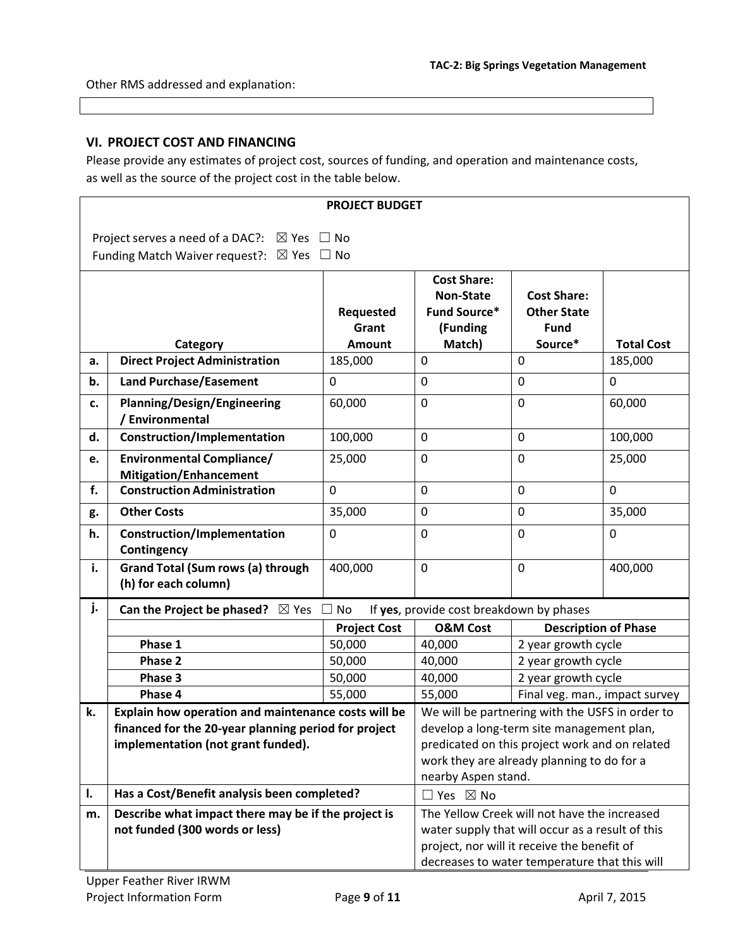Other RMS addressed and explanation:

#### **VI. PROJECT COST AND FINANCING**

Please provide any estimates of project cost, sources of funding, and operation and maintenance costs, as well as the source of the project cost in the table below.

| <b>PROJECT BUDGET</b> |                                                                                                             |                                                                                                                     |                                                                           |                                                         |                   |
|-----------------------|-------------------------------------------------------------------------------------------------------------|---------------------------------------------------------------------------------------------------------------------|---------------------------------------------------------------------------|---------------------------------------------------------|-------------------|
|                       | Project serves a need of a DAC?: $\boxtimes$ Yes $\Box$ No                                                  |                                                                                                                     |                                                                           |                                                         |                   |
|                       | Funding Match Waiver request?: $\boxtimes$ Yes $\Box$ No                                                    |                                                                                                                     |                                                                           |                                                         |                   |
|                       |                                                                                                             | Requested<br>Grant                                                                                                  | <b>Cost Share:</b><br><b>Non-State</b><br><b>Fund Source*</b><br>(Funding | <b>Cost Share:</b><br><b>Other State</b><br><b>Fund</b> |                   |
|                       | Category                                                                                                    | <b>Amount</b>                                                                                                       | Match)                                                                    | Source*                                                 | <b>Total Cost</b> |
| a.                    | <b>Direct Project Administration</b>                                                                        | 185,000                                                                                                             | $\mathbf 0$                                                               | $\mathbf 0$                                             | 185,000           |
| b.                    | <b>Land Purchase/Easement</b>                                                                               | 0                                                                                                                   | $\mathbf 0$                                                               | $\mathbf 0$                                             | $\mathbf 0$       |
| c.                    | <b>Planning/Design/Engineering</b><br>/ Environmental                                                       | 60,000                                                                                                              | $\mathbf 0$                                                               | $\mathbf 0$                                             | 60,000            |
| d.                    | <b>Construction/Implementation</b>                                                                          | 100,000                                                                                                             | $\mathbf 0$                                                               | $\mathbf 0$                                             | 100,000           |
| e.                    | <b>Environmental Compliance/</b><br><b>Mitigation/Enhancement</b>                                           | 25,000                                                                                                              | $\mathbf 0$                                                               | $\mathbf 0$                                             | 25,000            |
| f.                    | <b>Construction Administration</b>                                                                          | $\mathbf{0}$                                                                                                        | $\mathbf 0$                                                               | $\mathbf 0$                                             | $\mathbf 0$       |
| g.                    | <b>Other Costs</b>                                                                                          | 35,000                                                                                                              | $\mathbf 0$                                                               | $\mathbf 0$                                             | 35,000            |
| h.                    | <b>Construction/Implementation</b><br>Contingency                                                           | $\mathbf 0$                                                                                                         | $\mathbf 0$                                                               | $\mathbf 0$                                             | $\mathbf 0$       |
| i.                    | <b>Grand Total (Sum rows (a) through</b><br>(h) for each column)                                            | 400,000                                                                                                             | $\mathbf 0$                                                               | $\mathbf 0$                                             | 400,000           |
| j.                    | <b>Can the Project be phased?</b> $\boxtimes$ Yes<br>$\Box$ No<br>If yes, provide cost breakdown by phases  |                                                                                                                     |                                                                           |                                                         |                   |
|                       | <b>Project Cost</b>                                                                                         |                                                                                                                     | <b>O&amp;M Cost</b>                                                       | <b>Description of Phase</b>                             |                   |
|                       | Phase 1                                                                                                     | 50,000                                                                                                              | 40,000                                                                    | 2 year growth cycle                                     |                   |
|                       | Phase 2                                                                                                     | 50,000                                                                                                              | 40,000                                                                    | 2 year growth cycle                                     |                   |
|                       | Phase 3                                                                                                     | 50,000                                                                                                              | 40,000                                                                    | 2 year growth cycle                                     |                   |
|                       | Phase 4                                                                                                     | 55,000                                                                                                              | 55,000                                                                    | Final veg. man., impact survey                          |                   |
| k.                    | Explain how operation and maintenance costs will be<br>financed for the 20-year planning period for project | We will be partnering with the USFS in order to<br>develop a long-term site management plan,                        |                                                                           |                                                         |                   |
|                       | implementation (not grant funded).                                                                          | predicated on this project work and on related<br>work they are already planning to do for a<br>nearby Aspen stand. |                                                                           |                                                         |                   |
| I.                    | Has a Cost/Benefit analysis been completed?                                                                 | $\Box$ Yes $\boxtimes$ No                                                                                           |                                                                           |                                                         |                   |
| m.                    | Describe what impact there may be if the project is                                                         |                                                                                                                     | The Yellow Creek will not have the increased                              |                                                         |                   |
|                       | not funded (300 words or less)                                                                              | water supply that will occur as a result of this                                                                    |                                                                           |                                                         |                   |
|                       |                                                                                                             | project, nor will it receive the benefit of                                                                         |                                                                           |                                                         |                   |
|                       |                                                                                                             | decreases to water temperature that this will                                                                       |                                                                           |                                                         |                   |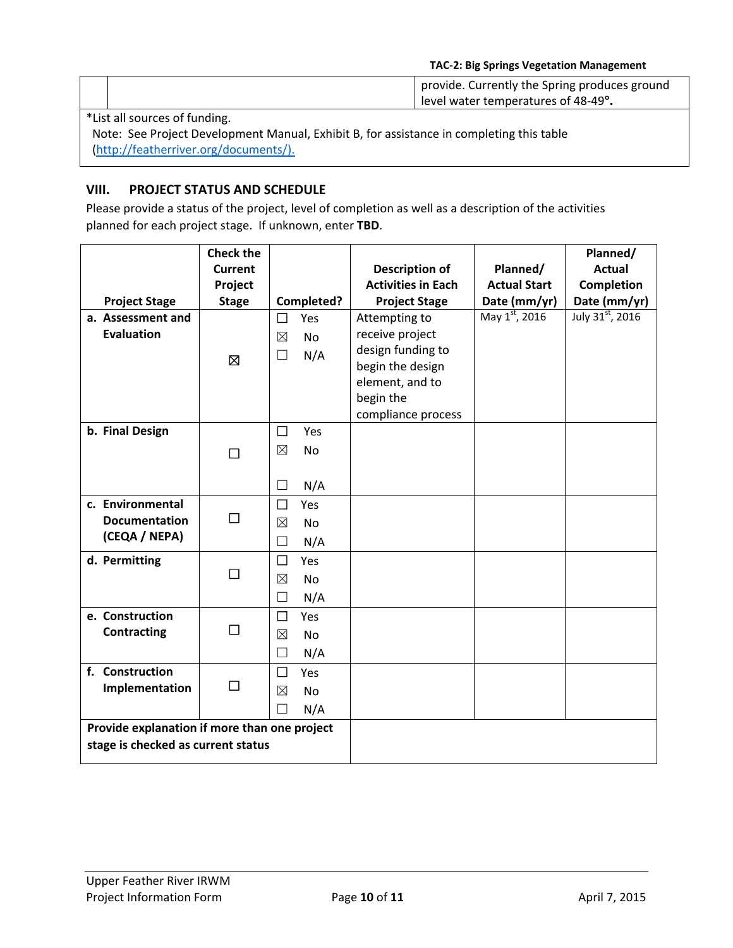|                                                                                          |                                       | provide. Currently the Spring produces ground<br>level water temperatures of 48-49°. |  |  |  |
|------------------------------------------------------------------------------------------|---------------------------------------|--------------------------------------------------------------------------------------|--|--|--|
|                                                                                          | *List all sources of funding.         |                                                                                      |  |  |  |
| Note: See Project Development Manual, Exhibit B, for assistance in completing this table |                                       |                                                                                      |  |  |  |
|                                                                                          | (http://featherriver.org/documents/). |                                                                                      |  |  |  |

### **VIII. PROJECT STATUS AND SCHEDULE**

Please provide a status of the project, level of completion as well as a description of the activities planned for each project stage. If unknown, enter **TBD**.

|                                              | <b>Check the</b> |             |            |                           |                     | Planned/        |
|----------------------------------------------|------------------|-------------|------------|---------------------------|---------------------|-----------------|
|                                              | <b>Current</b>   |             |            | <b>Description of</b>     | Planned/            | <b>Actual</b>   |
|                                              | Project          |             |            | <b>Activities in Each</b> | <b>Actual Start</b> | Completion      |
| <b>Project Stage</b>                         | <b>Stage</b>     |             | Completed? | <b>Project Stage</b>      | Date (mm/yr)        | Date (mm/yr)    |
| a. Assessment and                            |                  | □           | Yes        | Attempting to             | May 1st, 2016       | July 31st, 2016 |
| <b>Evaluation</b>                            |                  | $\boxtimes$ | <b>No</b>  | receive project           |                     |                 |
|                                              | 囟                | $\Box$      | N/A        | design funding to         |                     |                 |
|                                              |                  |             |            | begin the design          |                     |                 |
|                                              |                  |             |            | element, and to           |                     |                 |
|                                              |                  |             |            | begin the                 |                     |                 |
|                                              |                  |             |            | compliance process        |                     |                 |
| b. Final Design                              |                  | $\Box$      | Yes        |                           |                     |                 |
|                                              | $\Box$           | $\boxtimes$ | <b>No</b>  |                           |                     |                 |
|                                              |                  |             |            |                           |                     |                 |
|                                              |                  | $\Box$      | N/A        |                           |                     |                 |
| c. Environmental                             |                  | □           | Yes        |                           |                     |                 |
| <b>Documentation</b>                         | □                | $\boxtimes$ | No         |                           |                     |                 |
| (CEQA / NEPA)                                |                  | П           | N/A        |                           |                     |                 |
| d. Permitting                                |                  | □           | Yes        |                           |                     |                 |
|                                              | $\Box$           | $\boxtimes$ | <b>No</b>  |                           |                     |                 |
|                                              |                  | П           | N/A        |                           |                     |                 |
| e. Construction                              |                  | $\Box$      | Yes        |                           |                     |                 |
| Contracting                                  | $\Box$           | $\boxtimes$ | No         |                           |                     |                 |
|                                              |                  | П           | N/A        |                           |                     |                 |
| f. Construction                              |                  | $\Box$      | Yes        |                           |                     |                 |
| Implementation                               | □                | $\boxtimes$ | <b>No</b>  |                           |                     |                 |
|                                              |                  | □           | N/A        |                           |                     |                 |
| Provide explanation if more than one project |                  |             |            |                           |                     |                 |
| stage is checked as current status           |                  |             |            |                           |                     |                 |
|                                              |                  |             |            |                           |                     |                 |